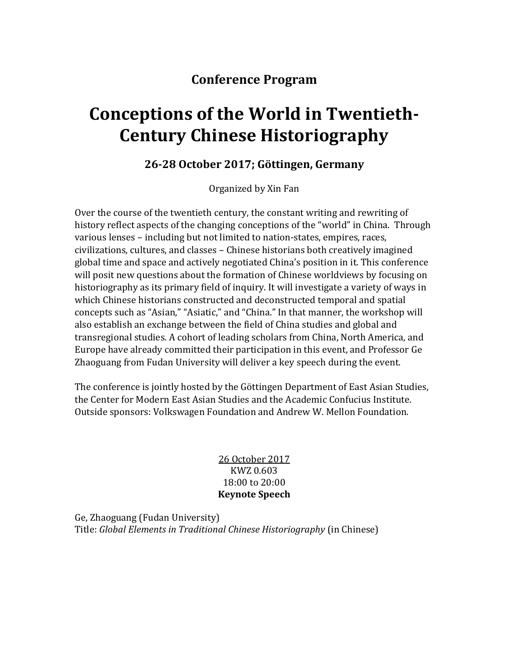## **Conference Program**

# **Conceptions of the World in Twentieth-Century Chinese Historiography**

## **26-28 October 2017; Göttingen, Germany**

Organized by Xin Fan

Over the course of the twentieth century, the constant writing and rewriting of history reflect aspects of the changing conceptions of the "world" in China. Through various lenses – including but not limited to nation-states, empires, races, civilizations, cultures, and classes – Chinese historians both creatively imagined global time and space and actively negotiated China's position in it. This conference will posit new questions about the formation of Chinese worldviews by focusing on historiography as its primary field of inquiry. It will investigate a variety of ways in which Chinese historians constructed and deconstructed temporal and spatial concepts such as "Asian," "Asiatic," and "China." In that manner, the workshop will also establish an exchange between the field of China studies and global and transregional studies. A cohort of leading scholars from China, North America, and Europe have already committed their participation in this event, and Professor Ge Zhaoguang from Fudan University will deliver a key speech during the event.

The conference is jointly hosted by the Göttingen Department of East Asian Studies, the Center for Modern East Asian Studies and the Academic Confucius Institute. Outside sponsors: Volkswagen Foundation and Andrew W. Mellon Foundation.

#### 26 October 2017 KWZ 0.603 18:00 to 20:00 **Keynote Speech**

Ge, Zhaoguang (Fudan University) Title: *Global Elements in Traditional Chinese Historiography* (in Chinese)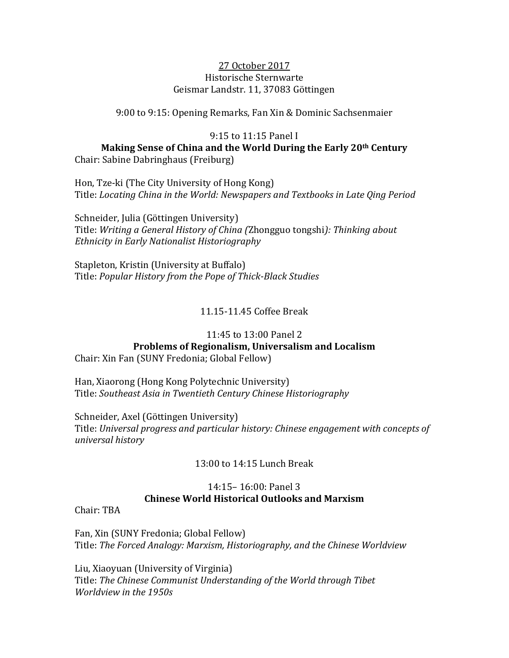#### 27 October 2017 Historische Sternwarte Geismar Landstr. 11, 37083 Göttingen

9:00 to 9:15: Opening Remarks, Fan Xin & Dominic Sachsenmaier

#### 9:15 to 11:15 Panel I

**Making Sense of China and the World During the Early 20th Century** Chair: Sabine Dabringhaus (Freiburg)

Hon, Tze-ki (The City University of Hong Kong) Title: *Locating China in the World: Newspapers and Textbooks in Late Qing Period*

Schneider, Julia (Göttingen University) Title: *Writing a General History of China (*Zhongguo tongshi*): Thinking about Ethnicity in Early Nationalist Historiography*

Stapleton, Kristin (University at Buffalo) Title: *Popular History from the Pope of Thick-Black Studies*

11.15-11.45 Coffee Break

#### 11:45 to 13:00 Panel 2

## **Problems of Regionalism, Universalism and Localism**

Chair: Xin Fan (SUNY Fredonia; Global Fellow)

Han, Xiaorong (Hong Kong Polytechnic University) Title: *Southeast Asia in Twentieth Century Chinese Historiography*

Schneider, Axel (Göttingen University) Title: *Universal progress and particular history: Chinese engagement with concepts of universal history*

### 13:00 to 14:15 Lunch Break

#### 14:15– 16:00: Panel 3 **Chinese World Historical Outlooks and Marxism**

Chair: TBA

Fan, Xin (SUNY Fredonia; Global Fellow) Title: *The Forced Analogy: Marxism, Historiography, and the Chinese Worldview*

Liu, Xiaoyuan (University of Virginia) Title: *The Chinese Communist Understanding of the World through Tibet Worldview in the 1950s*